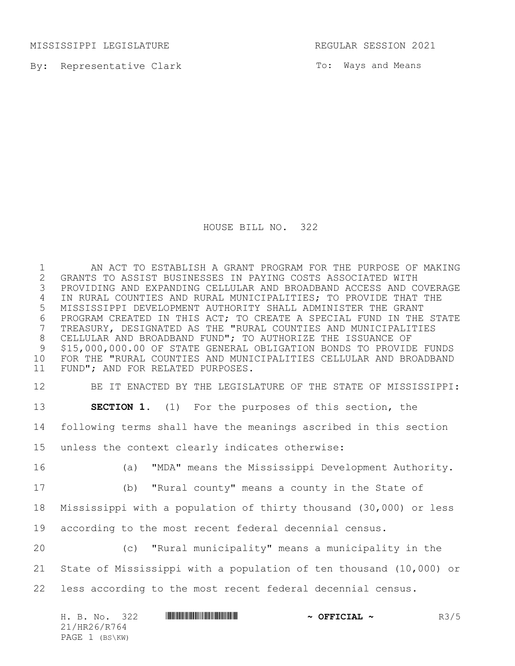MISSISSIPPI LEGISLATURE REGULAR SESSION 2021

By: Representative Clark

To: Ways and Means

HOUSE BILL NO. 322

1 AN ACT TO ESTABLISH A GRANT PROGRAM FOR THE PURPOSE OF MAKING<br>2 GRANTS TO ASSIST BUSINESSES IN PAYING COSTS ASSOCIATED WITH GRANTS TO ASSIST BUSINESSES IN PAYING COSTS ASSOCIATED WITH PROVIDING AND EXPANDING CELLULAR AND BROADBAND ACCESS AND COVERAGE IN RURAL COUNTIES AND RURAL MUNICIPALITIES; TO PROVIDE THAT THE MISSISSIPPI DEVELOPMENT AUTHORITY SHALL ADMINISTER THE GRANT 6 PROGRAM CREATED IN THIS ACT; TO CREATE A SPECIAL FUND IN THE STATE<br>7 TREASURY, DESIGNATED AS THE "RURAL COUNTIES AND MUNICIPALITIES TREASURY, DESIGNATED AS THE "RURAL COUNTIES AND MUNICIPALITIES CELLULAR AND BROADBAND FUND"; TO AUTHORIZE THE ISSUANCE OF \$15,000,000.00 OF STATE GENERAL OBLIGATION BONDS TO PROVIDE FUNDS FOR THE "RURAL COUNTIES AND MUNICIPALITIES CELLULAR AND BROADBAND FUND"; AND FOR RELATED PURPOSES.

 BE IT ENACTED BY THE LEGISLATURE OF THE STATE OF MISSISSIPPI: **SECTION 1.** (1) For the purposes of this section, the following terms shall have the meanings ascribed in this section unless the context clearly indicates otherwise: (a) "MDA" means the Mississippi Development Authority. (b) "Rural county" means a county in the State of

 Mississippi with a population of thirty thousand (30,000) or less according to the most recent federal decennial census.

 (c) "Rural municipality" means a municipality in the State of Mississippi with a population of ten thousand (10,000) or less according to the most recent federal decennial census.

| H. B. No.      | 322 | $\sim$ OFFICIAL $\sim$ | R3/5 |
|----------------|-----|------------------------|------|
| 21/HR26/R764   |     |                        |      |
| PAGE 1 (BS\KW) |     |                        |      |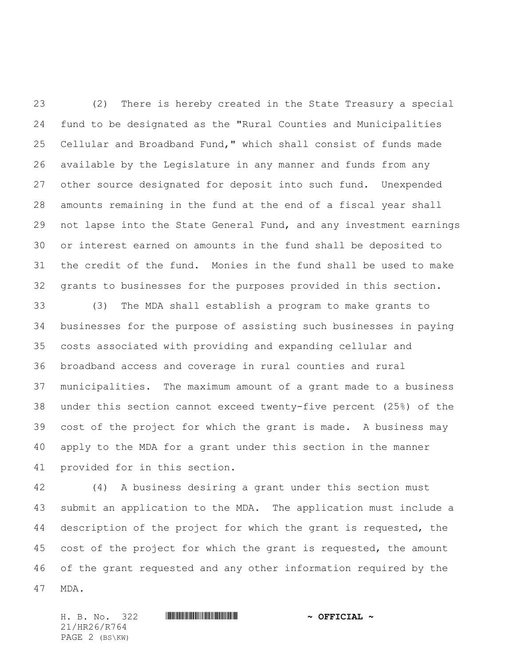(2) There is hereby created in the State Treasury a special fund to be designated as the "Rural Counties and Municipalities Cellular and Broadband Fund," which shall consist of funds made available by the Legislature in any manner and funds from any other source designated for deposit into such fund. Unexpended amounts remaining in the fund at the end of a fiscal year shall not lapse into the State General Fund, and any investment earnings or interest earned on amounts in the fund shall be deposited to the credit of the fund. Monies in the fund shall be used to make grants to businesses for the purposes provided in this section.

 (3) The MDA shall establish a program to make grants to businesses for the purpose of assisting such businesses in paying costs associated with providing and expanding cellular and broadband access and coverage in rural counties and rural municipalities. The maximum amount of a grant made to a business under this section cannot exceed twenty-five percent (25%) of the cost of the project for which the grant is made. A business may apply to the MDA for a grant under this section in the manner provided for in this section.

 (4) A business desiring a grant under this section must submit an application to the MDA. The application must include a description of the project for which the grant is requested, the cost of the project for which the grant is requested, the amount of the grant requested and any other information required by the MDA.

21/HR26/R764 PAGE 2 (BS\KW)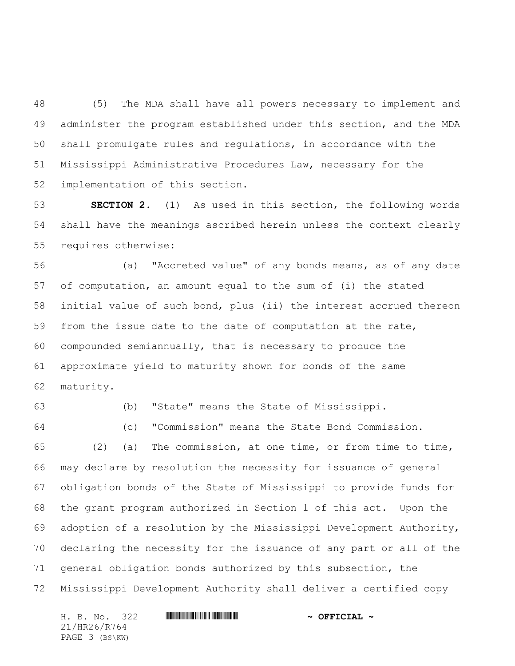(5) The MDA shall have all powers necessary to implement and administer the program established under this section, and the MDA shall promulgate rules and regulations, in accordance with the Mississippi Administrative Procedures Law, necessary for the implementation of this section.

 **SECTION 2.** (1) As used in this section, the following words shall have the meanings ascribed herein unless the context clearly requires otherwise:

 (a) "Accreted value" of any bonds means, as of any date of computation, an amount equal to the sum of (i) the stated initial value of such bond, plus (ii) the interest accrued thereon from the issue date to the date of computation at the rate, compounded semiannually, that is necessary to produce the approximate yield to maturity shown for bonds of the same maturity.

(b) "State" means the State of Mississippi.

(c) "Commission" means the State Bond Commission.

 (2) (a) The commission, at one time, or from time to time, may declare by resolution the necessity for issuance of general obligation bonds of the State of Mississippi to provide funds for the grant program authorized in Section 1 of this act. Upon the adoption of a resolution by the Mississippi Development Authority, declaring the necessity for the issuance of any part or all of the general obligation bonds authorized by this subsection, the Mississippi Development Authority shall deliver a certified copy

H. B. No. 322 \*HR26/R764\* **~ OFFICIAL ~** 21/HR26/R764 PAGE 3 (BS\KW)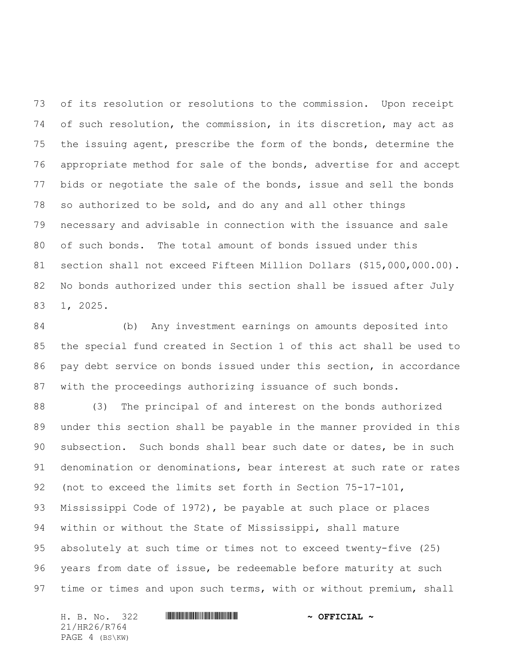of its resolution or resolutions to the commission. Upon receipt of such resolution, the commission, in its discretion, may act as the issuing agent, prescribe the form of the bonds, determine the appropriate method for sale of the bonds, advertise for and accept bids or negotiate the sale of the bonds, issue and sell the bonds so authorized to be sold, and do any and all other things necessary and advisable in connection with the issuance and sale of such bonds. The total amount of bonds issued under this section shall not exceed Fifteen Million Dollars (\$15,000,000.00). No bonds authorized under this section shall be issued after July 1, 2025.

 (b) Any investment earnings on amounts deposited into the special fund created in Section 1 of this act shall be used to pay debt service on bonds issued under this section, in accordance with the proceedings authorizing issuance of such bonds.

 (3) The principal of and interest on the bonds authorized under this section shall be payable in the manner provided in this subsection. Such bonds shall bear such date or dates, be in such denomination or denominations, bear interest at such rate or rates (not to exceed the limits set forth in Section 75-17-101, Mississippi Code of 1972), be payable at such place or places within or without the State of Mississippi, shall mature absolutely at such time or times not to exceed twenty-five (25) years from date of issue, be redeemable before maturity at such 97 time or times and upon such terms, with or without premium, shall

H. B. No. 322 \*HR26/R764\* **~ OFFICIAL ~** 21/HR26/R764 PAGE 4 (BS\KW)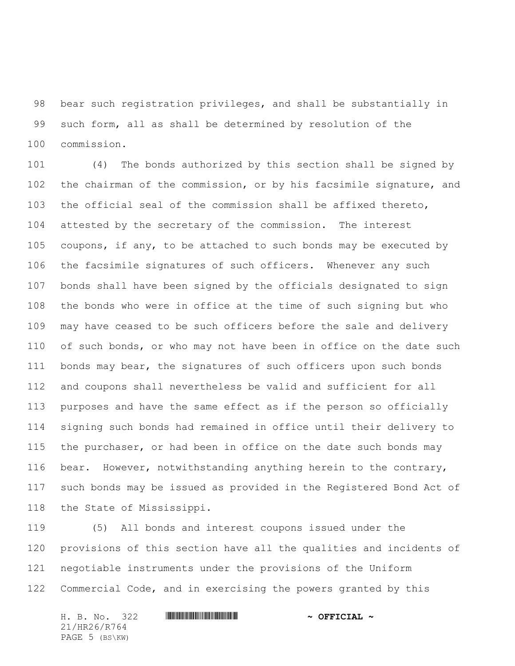bear such registration privileges, and shall be substantially in such form, all as shall be determined by resolution of the commission.

 (4) The bonds authorized by this section shall be signed by the chairman of the commission, or by his facsimile signature, and the official seal of the commission shall be affixed thereto, attested by the secretary of the commission. The interest coupons, if any, to be attached to such bonds may be executed by the facsimile signatures of such officers. Whenever any such bonds shall have been signed by the officials designated to sign the bonds who were in office at the time of such signing but who may have ceased to be such officers before the sale and delivery of such bonds, or who may not have been in office on the date such bonds may bear, the signatures of such officers upon such bonds and coupons shall nevertheless be valid and sufficient for all purposes and have the same effect as if the person so officially signing such bonds had remained in office until their delivery to the purchaser, or had been in office on the date such bonds may bear. However, notwithstanding anything herein to the contrary, such bonds may be issued as provided in the Registered Bond Act of the State of Mississippi.

 (5) All bonds and interest coupons issued under the provisions of this section have all the qualities and incidents of negotiable instruments under the provisions of the Uniform Commercial Code, and in exercising the powers granted by this

H. B. No. 322 \*HR26/R764\* **~ OFFICIAL ~** 21/HR26/R764 PAGE 5 (BS\KW)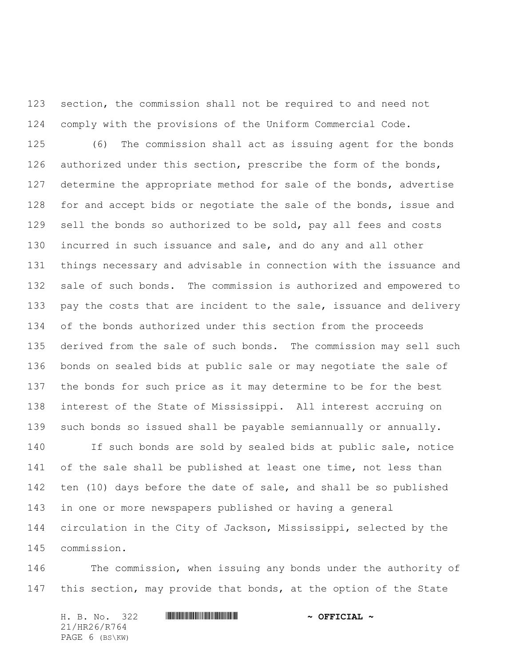section, the commission shall not be required to and need not comply with the provisions of the Uniform Commercial Code.

 (6) The commission shall act as issuing agent for the bonds authorized under this section, prescribe the form of the bonds, determine the appropriate method for sale of the bonds, advertise 128 for and accept bids or negotiate the sale of the bonds, issue and sell the bonds so authorized to be sold, pay all fees and costs incurred in such issuance and sale, and do any and all other things necessary and advisable in connection with the issuance and sale of such bonds. The commission is authorized and empowered to 133 pay the costs that are incident to the sale, issuance and delivery of the bonds authorized under this section from the proceeds derived from the sale of such bonds. The commission may sell such bonds on sealed bids at public sale or may negotiate the sale of the bonds for such price as it may determine to be for the best interest of the State of Mississippi. All interest accruing on such bonds so issued shall be payable semiannually or annually.

 If such bonds are sold by sealed bids at public sale, notice 141 of the sale shall be published at least one time, not less than ten (10) days before the date of sale, and shall be so published in one or more newspapers published or having a general circulation in the City of Jackson, Mississippi, selected by the commission.

 The commission, when issuing any bonds under the authority of 147 this section, may provide that bonds, at the option of the State

|  |                | H. B. No. 322 |  |  | $\sim$ OFFICIAL $\sim$ |  |
|--|----------------|---------------|--|--|------------------------|--|
|  | 21/HR26/R764   |               |  |  |                        |  |
|  | PAGE 6 (BS\KW) |               |  |  |                        |  |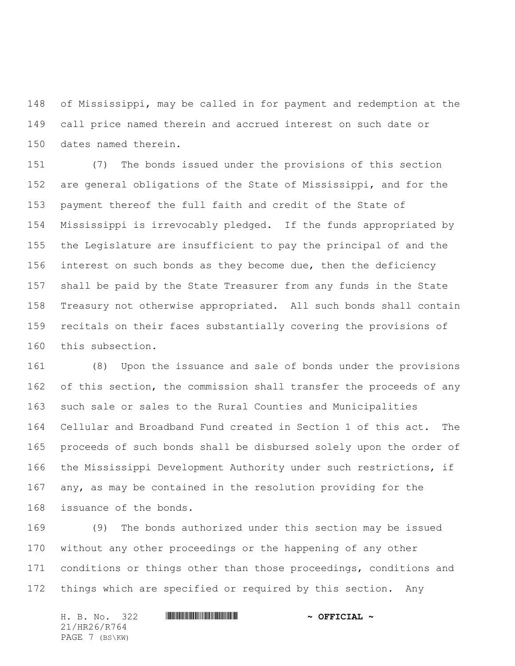of Mississippi, may be called in for payment and redemption at the call price named therein and accrued interest on such date or dates named therein.

 (7) The bonds issued under the provisions of this section are general obligations of the State of Mississippi, and for the payment thereof the full faith and credit of the State of Mississippi is irrevocably pledged. If the funds appropriated by the Legislature are insufficient to pay the principal of and the 156 interest on such bonds as they become due, then the deficiency shall be paid by the State Treasurer from any funds in the State Treasury not otherwise appropriated. All such bonds shall contain recitals on their faces substantially covering the provisions of this subsection.

 (8) Upon the issuance and sale of bonds under the provisions of this section, the commission shall transfer the proceeds of any such sale or sales to the Rural Counties and Municipalities Cellular and Broadband Fund created in Section 1 of this act. The proceeds of such bonds shall be disbursed solely upon the order of the Mississippi Development Authority under such restrictions, if any, as may be contained in the resolution providing for the issuance of the bonds.

 (9) The bonds authorized under this section may be issued without any other proceedings or the happening of any other 171 conditions or things other than those proceedings, conditions and things which are specified or required by this section. Any

H. B. No. 322 \*HR26/R764\* **~ OFFICIAL ~** 21/HR26/R764 PAGE 7 (BS\KW)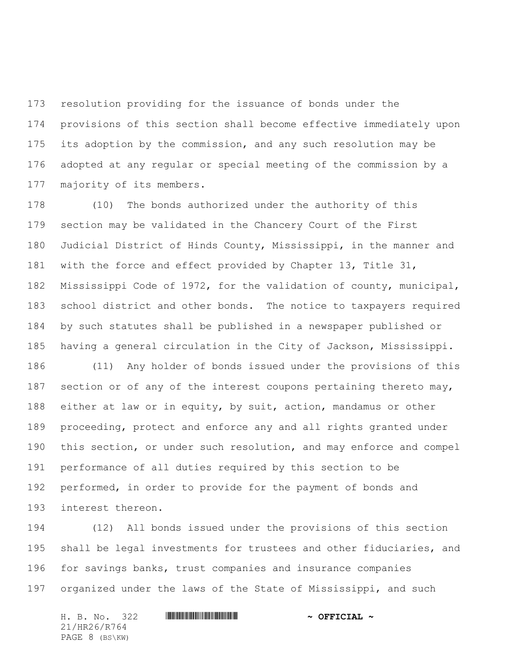resolution providing for the issuance of bonds under the provisions of this section shall become effective immediately upon its adoption by the commission, and any such resolution may be adopted at any regular or special meeting of the commission by a majority of its members.

 (10) The bonds authorized under the authority of this section may be validated in the Chancery Court of the First Judicial District of Hinds County, Mississippi, in the manner and with the force and effect provided by Chapter 13, Title 31, Mississippi Code of 1972, for the validation of county, municipal, school district and other bonds. The notice to taxpayers required by such statutes shall be published in a newspaper published or having a general circulation in the City of Jackson, Mississippi.

 (11) Any holder of bonds issued under the provisions of this 187 section or of any of the interest coupons pertaining thereto may, either at law or in equity, by suit, action, mandamus or other proceeding, protect and enforce any and all rights granted under this section, or under such resolution, and may enforce and compel performance of all duties required by this section to be performed, in order to provide for the payment of bonds and interest thereon.

 (12) All bonds issued under the provisions of this section shall be legal investments for trustees and other fiduciaries, and for savings banks, trust companies and insurance companies 197 organized under the laws of the State of Mississippi, and such

H. B. No. 322 \*HR26/R764\* **~ OFFICIAL ~** 21/HR26/R764 PAGE 8 (BS\KW)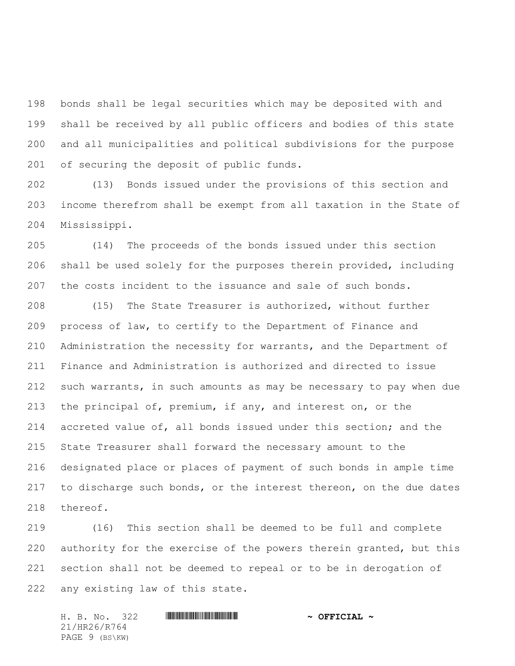bonds shall be legal securities which may be deposited with and shall be received by all public officers and bodies of this state and all municipalities and political subdivisions for the purpose of securing the deposit of public funds.

 (13) Bonds issued under the provisions of this section and income therefrom shall be exempt from all taxation in the State of Mississippi.

 (14) The proceeds of the bonds issued under this section shall be used solely for the purposes therein provided, including the costs incident to the issuance and sale of such bonds.

 (15) The State Treasurer is authorized, without further process of law, to certify to the Department of Finance and Administration the necessity for warrants, and the Department of Finance and Administration is authorized and directed to issue such warrants, in such amounts as may be necessary to pay when due the principal of, premium, if any, and interest on, or the accreted value of, all bonds issued under this section; and the State Treasurer shall forward the necessary amount to the designated place or places of payment of such bonds in ample time to discharge such bonds, or the interest thereon, on the due dates thereof.

 (16) This section shall be deemed to be full and complete authority for the exercise of the powers therein granted, but this section shall not be deemed to repeal or to be in derogation of any existing law of this state.

H. B. No. 322 \*HR26/R764\* **~ OFFICIAL ~** 21/HR26/R764 PAGE 9 (BS\KW)